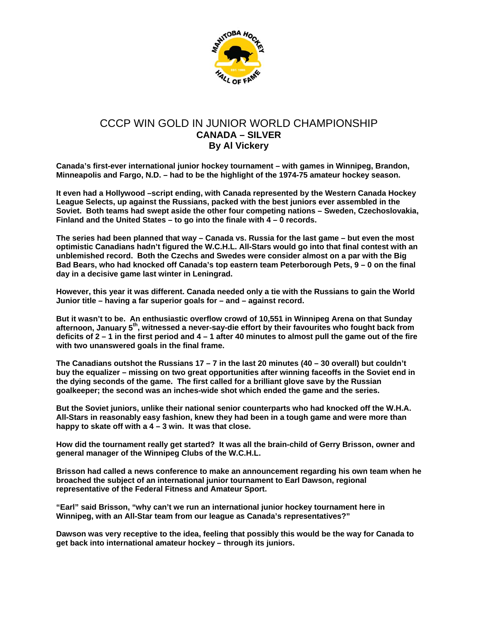

## CCCP WIN GOLD IN JUNIOR WORLD CHAMPIONSHIP **CANADA – SILVER By Al Vickery**

**Canada's first-ever international junior hockey tournament – with games in Winnipeg, Brandon, Minneapolis and Fargo, N.D. – had to be the highlight of the 1974-75 amateur hockey season.** 

**It even had a Hollywood –script ending, with Canada represented by the Western Canada Hockey League Selects, up against the Russians, packed with the best juniors ever assembled in the Soviet. Both teams had swept aside the other four competing nations – Sweden, Czechoslovakia, Finland and the United States – to go into the finale with 4 – 0 records.** 

**The series had been planned that way – Canada vs. Russia for the last game – but even the most optimistic Canadians hadn't figured the W.C.H.L. All-Stars would go into that final contest with an unblemished record. Both the Czechs and Swedes were consider almost on a par with the Big Bad Bears, who had knocked off Canada's top eastern team Peterborough Pets, 9 – 0 on the final day in a decisive game last winter in Leningrad.** 

**However, this year it was different. Canada needed only a tie with the Russians to gain the World Junior title – having a far superior goals for – and – against record.** 

**But it wasn't to be. An enthusiastic overflow crowd of 10,551 in Winnipeg Arena on that Sunday afternoon, January 5th, witnessed a never-say-die effort by their favourites who fought back from deficits of 2 – 1 in the first period and 4 – 1 after 40 minutes to almost pull the game out of the fire with two unanswered goals in the final frame.** 

**The Canadians outshot the Russians 17 – 7 in the last 20 minutes (40 – 30 overall) but couldn't buy the equalizer – missing on two great opportunities after winning faceoffs in the Soviet end in the dying seconds of the game. The first called for a brilliant glove save by the Russian goalkeeper; the second was an inches-wide shot which ended the game and the series.** 

**But the Soviet juniors, unlike their national senior counterparts who had knocked off the W.H.A. All-Stars in reasonably easy fashion, knew they had been in a tough game and were more than happy to skate off with a 4 – 3 win. It was that close.** 

**How did the tournament really get started? It was all the brain-child of Gerry Brisson, owner and general manager of the Winnipeg Clubs of the W.C.H.L.** 

**Brisson had called a news conference to make an announcement regarding his own team when he broached the subject of an international junior tournament to Earl Dawson, regional representative of the Federal Fitness and Amateur Sport.** 

**"Earl" said Brisson, "why can't we run an international junior hockey tournament here in Winnipeg, with an All-Star team from our league as Canada's representatives?"** 

**Dawson was very receptive to the idea, feeling that possibly this would be the way for Canada to get back into international amateur hockey – through its juniors.**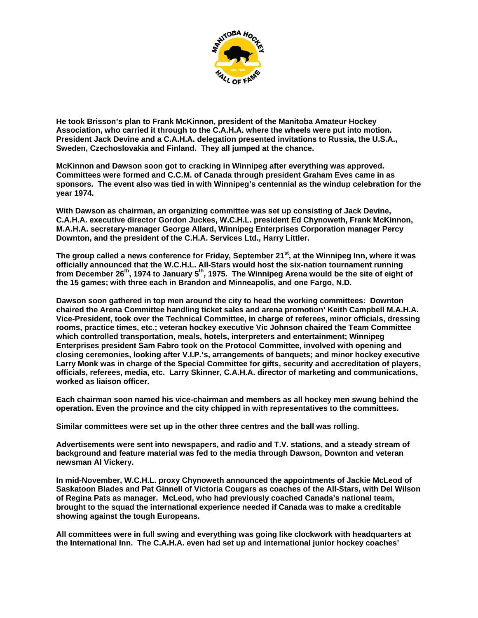

**He took Brisson's plan to Frank McKinnon, president of the Manitoba Amateur Hockey Association, who carried it through to the C.A.H.A. where the wheels were put into motion. President Jack Devine and a C.A.H.A. delegation presented invitations to Russia, the U.S.A., Sweden, Czechoslovakia and Finland. They all jumped at the chance.** 

**McKinnon and Dawson soon got to cracking in Winnipeg after everything was approved. Committees were formed and C.C.M. of Canada through president Graham Eves came in as sponsors. The event also was tied in with Winnipeg's centennial as the windup celebration for the year 1974.** 

**With Dawson as chairman, an organizing committee was set up consisting of Jack Devine, C.A.H.A. executive director Gordon Juckes, W.C.H.L. president Ed Chynoweth, Frank McKinnon, M.A.H.A. secretary-manager George Allard, Winnipeg Enterprises Corporation manager Percy Downton, and the president of the C.H.A. Services Ltd., Harry Littler.** 

The group called a news conference for Friday, September 21<sup>st</sup>, at the Winnipeg Inn, where it was **officially announced that the W.C.H.L. All-Stars would host the six-nation tournament running from December 26th, 1974 to January 5th, 1975. The Winnipeg Arena would be the site of eight of the 15 games; with three each in Brandon and Minneapolis, and one Fargo, N.D.** 

**Dawson soon gathered in top men around the city to head the working committees: Downton chaired the Arena Committee handling ticket sales and arena promotion' Keith Campbell M.A.H.A. Vice-President, took over the Technical Committee, in charge of referees, minor officials, dressing rooms, practice times, etc.; veteran hockey executive Vic Johnson chaired the Team Committee which controlled transportation, meals, hotels, interpreters and entertainment; Winnipeg Enterprises president Sam Fabro took on the Protocol Committee, involved with opening and closing ceremonies, looking after V.I.P.'s, arrangements of banquets; and minor hockey executive Larry Monk was in charge of the Special Committee for gifts, security and accreditation of players, officials, referees, media, etc. Larry Skinner, C.A.H.A. director of marketing and communications, worked as liaison officer.** 

**Each chairman soon named his vice-chairman and members as all hockey men swung behind the operation. Even the province and the city chipped in with representatives to the committees.** 

**Similar committees were set up in the other three centres and the ball was rolling.** 

**Advertisements were sent into newspapers, and radio and T.V. stations, and a steady stream of background and feature material was fed to the media through Dawson, Downton and veteran newsman Al Vickery.** 

**In mid-November, W.C.H.L. proxy Chynoweth announced the appointments of Jackie McLeod of Saskatoon Blades and Pat Ginnell of Victoria Cougars as coaches of the All-Stars, with Del Wilson of Regina Pats as manager. McLeod, who had previously coached Canada's national team, brought to the squad the international experience needed if Canada was to make a creditable showing against the tough Europeans.** 

**All committees were in full swing and everything was going like clockwork with headquarters at the International Inn. The C.A.H.A. even had set up and international junior hockey coaches'**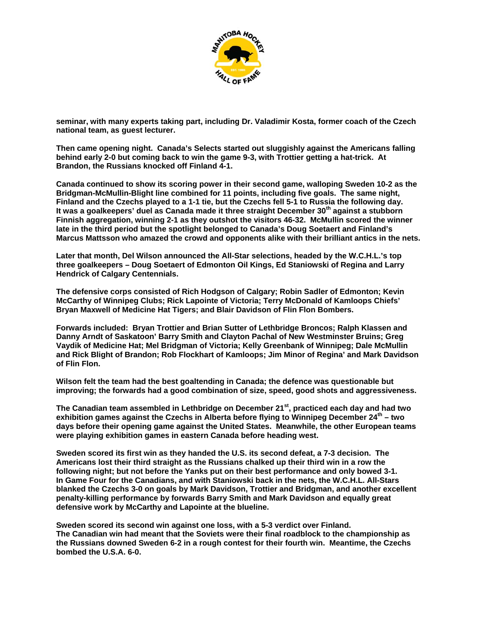

**seminar, with many experts taking part, including Dr. Valadimir Kosta, former coach of the Czech national team, as guest lecturer.** 

**Then came opening night. Canada's Selects started out sluggishly against the Americans falling behind early 2-0 but coming back to win the game 9-3, with Trottier getting a hat-trick. At Brandon, the Russians knocked off Finland 4-1.** 

**Canada continued to show its scoring power in their second game, walloping Sweden 10-2 as the Bridgman-McMullin-Blight line combined for 11 points, including five goals. The same night, Finland and the Czechs played to a 1-1 tie, but the Czechs fell 5-1 to Russia the following day. It was a goalkeepers' duel as Canada made it three straight December 30th against a stubborn Finnish aggregation, winning 2-1 as they outshot the visitors 46-32. McMullin scored the winner late in the third period but the spotlight belonged to Canada's Doug Soetaert and Finland's Marcus Mattsson who amazed the crowd and opponents alike with their brilliant antics in the nets.** 

**Later that month, Del Wilson announced the All-Star selections, headed by the W.C.H.L.'s top three goalkeepers – Doug Soetaert of Edmonton Oil Kings, Ed Staniowski of Regina and Larry Hendrick of Calgary Centennials.** 

**The defensive corps consisted of Rich Hodgson of Calgary; Robin Sadler of Edmonton; Kevin McCarthy of Winnipeg Clubs; Rick Lapointe of Victoria; Terry McDonald of Kamloops Chiefs' Bryan Maxwell of Medicine Hat Tigers; and Blair Davidson of Flin Flon Bombers.** 

**Forwards included: Bryan Trottier and Brian Sutter of Lethbridge Broncos; Ralph Klassen and Danny Arndt of Saskatoon' Barry Smith and Clayton Pachal of New Westminster Bruins; Greg Vaydik of Medicine Hat; Mel Bridgman of Victoria; Kelly Greenbank of Winnipeg; Dale McMullin and Rick Blight of Brandon; Rob Flockhart of Kamloops; Jim Minor of Regina' and Mark Davidson of Flin Flon.** 

**Wilson felt the team had the best goaltending in Canada; the defence was questionable but improving; the forwards had a good combination of size, speed, good shots and aggressiveness.** 

**The Canadian team assembled in Lethbridge on December 21st, practiced each day and had two exhibition games against the Czechs in Alberta before flying to Winnipeg December 24th – two days before their opening game against the United States. Meanwhile, the other European teams were playing exhibition games in eastern Canada before heading west.** 

**Sweden scored its first win as they handed the U.S. its second defeat, a 7-3 decision. The Americans lost their third straight as the Russians chalked up their third win in a row the following night; but not before the Yanks put on their best performance and only bowed 3-1. In Game Four for the Canadians, and with Staniowski back in the nets, the W.C.H.L. All-Stars blanked the Czechs 3-0 on goals by Mark Davidson, Trottier and Bridgman, and another excellent penalty-killing performance by forwards Barry Smith and Mark Davidson and equally great defensive work by McCarthy and Lapointe at the blueline.** 

**Sweden scored its second win against one loss, with a 5-3 verdict over Finland. The Canadian win had meant that the Soviets were their final roadblock to the championship as the Russians downed Sweden 6-2 in a rough contest for their fourth win. Meantime, the Czechs bombed the U.S.A. 6-0.**